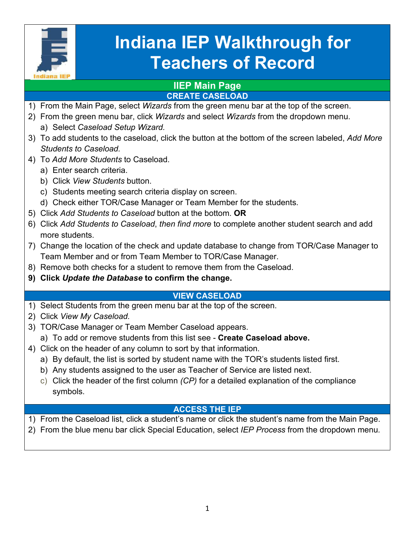

# **Indiana IEP Walkthrough for Teachers of Record**

#### **IIEP Main Page CREATE CASELOAD**

- 1) From the Main Page, select *Wizards* from the green menu bar at the top of the screen.
- 2) From the green menu bar, click *Wizards* and select *Wizards* from the dropdown menu.
	- a) Select *Caseload Setup Wizard.*
- 3) To add students to the caseload, click the button at the bottom of the screen labeled, *Add More Students to Caseload.*
- 4) To *Add More Students* to Caseload.
	- a) Enter search criteria.
	- b) Click *View Students* button.
	- c) Students meeting search criteria display on screen.
	- d) Check either TOR/Case Manager or Team Member for the students.
- 5) Click *Add Students to Caseload* button at the bottom. **OR**
- 6) Click *Add Students to Caseload*, *then find more* to complete another student search and add more students.
- 7) Change the location of the check and update database to change from TOR/Case Manager to Team Member and or from Team Member to TOR/Case Manager.
- 8) Remove both checks for a student to remove them from the Caseload.
- **9) Click** *Update the Database* **to confirm the change.**

#### **VIEW CASELOAD**

- 1) Select Students from the green menu bar at the top of the screen.
- 2) Click *View My Caseload.*
- 3) TOR/Case Manager or Team Member Caseload appears.
	- a) To add or remove students from this list see **Create Caseload above.**
- 4) Click on the header of any column to sort by that information.
	- a) By default, the list is sorted by student name with the TOR's students listed first.
	- b) Any students assigned to the user as Teacher of Service are listed next.
	- c) Click the header of the first column *(CP)* for a detailed explanation of the compliance symbols.

# **ACCESS THE IEP**

1) From the Caseload list, click a student's name or click the student's name from the Main Page. 2) From the blue menu bar click Special Education, select *IEP Process* from the dropdown menu*.*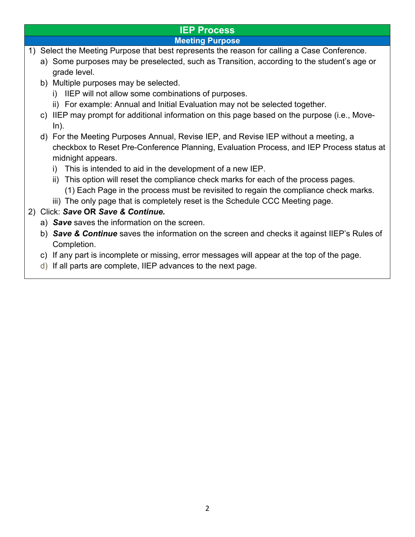# **IEP Process**

#### **Meeting Purpose**

- 1) Select the Meeting Purpose that best represents the reason for calling a Case Conference.
	- a) Some purposes may be preselected, such as Transition, according to the student's age or grade level.
	- b) Multiple purposes may be selected.
		- i) IIEP will not allow some combinations of purposes.
		- ii) For example: Annual and Initial Evaluation may not be selected together.
	- c) IIEP may prompt for additional information on this page based on the purpose (i.e., Move-In).
	- d) For the Meeting Purposes Annual, Revise IEP, and Revise IEP without a meeting, a checkbox to Reset Pre-Conference Planning, Evaluation Process, and IEP Process status at midnight appears.
		- i) This is intended to aid in the development of a new IEP.
		- ii) This option will reset the compliance check marks for each of the process pages. (1) Each Page in the process must be revisited to regain the compliance check marks.
		- iii) The only page that is completely reset is the Schedule CCC Meeting page.

#### 2) Click: *Save* **OR** *Save & Continue.*

- a) *Save* saves the information on the screen.
- b) *Save & Continue* saves the information on the screen and checks it against IIEP's Rules of Completion.
- c) If any part is incomplete or missing, error messages will appear at the top of the page.
- d) If all parts are complete, IIEP advances to the next page.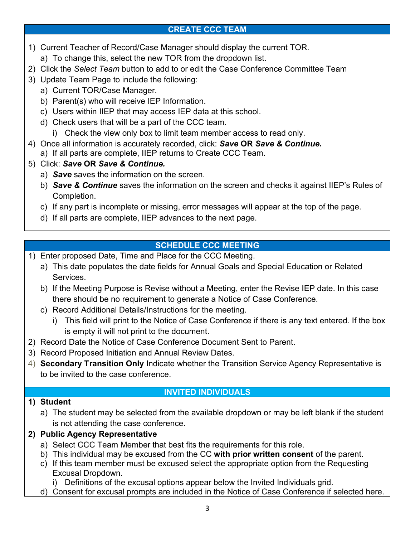# **CREATE CCC TEAM**

- 1) Current Teacher of Record/Case Manager should display the current TOR.
	- a) To change this, select the new TOR from the dropdown list.
- 2) Click the *Select Team* button to add to or edit the Case Conference Committee Team
- 3) Update Team Page to include the following:
	- a) Current TOR/Case Manager.
	- b) Parent(s) who will receive IEP Information.
	- c) Users within IIEP that may access IEP data at this school.
	- d) Check users that will be a part of the CCC team.
		- i) Check the view only box to limit team member access to read only.
- 4) Once all information is accurately recorded, click: *Save* **OR** *Save & Continue.*
	- a) If all parts are complete, IIEP returns to Create CCC Team.
- 5) Click: *Save* **OR** *Save & Continue.*
	- a) *Save* saves the information on the screen.
	- b) *Save & Continue* saves the information on the screen and checks it against IIEP's Rules of Completion.
	- c) If any part is incomplete or missing, error messages will appear at the top of the page.
	- d) If all parts are complete, IIEP advances to the next page.

# **SCHEDULE CCC MEETING**

- 1) Enter proposed Date, Time and Place for the CCC Meeting.
	- a) This date populates the date fields for Annual Goals and Special Education or Related Services.
	- b) If the Meeting Purpose is Revise without a Meeting, enter the Revise IEP date. In this case there should be no requirement to generate a Notice of Case Conference.
	- c) Record Additional Details/Instructions for the meeting.
		- i) This field will print to the Notice of Case Conference if there is any text entered. If the box is empty it will not print to the document.
- 2) Record Date the Notice of Case Conference Document Sent to Parent.
- 3) Record Proposed Initiation and Annual Review Dates.
- 4) **Secondary Transition Only** Indicate whether the Transition Service Agency Representative is to be invited to the case conference.

#### **INVITED INDIVIDUALS**

#### **1) Student**

a) The student may be selected from the available dropdown or may be left blank if the student is not attending the case conference.

# **2) Public Agency Representative**

- a) Select CCC Team Member that best fits the requirements for this role.
- b) This individual may be excused from the CC **with prior written consent** of the parent.
- c) If this team member must be excused select the appropriate option from the Requesting Excusal Dropdown.

i) Definitions of the excusal options appear below the Invited Individuals grid.

d) Consent for excusal prompts are included in the Notice of Case Conference if selected here.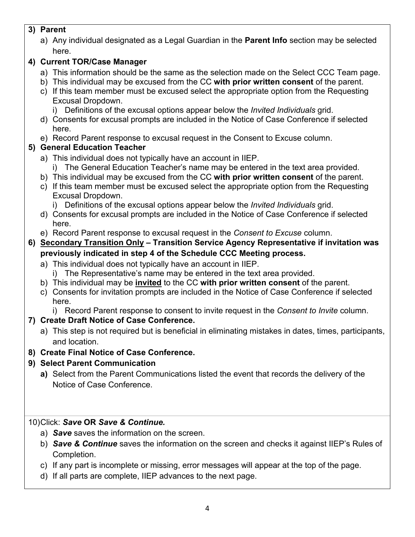## **3) Parent**

a) Any individual designated as a Legal Guardian in the **Parent Info** section may be selected here.

# **4) Current TOR/Case Manager**

- a) This information should be the same as the selection made on the Select CCC Team page.
- b) This individual may be excused from the CC **with prior written consent** of the parent.
- c) If this team member must be excused select the appropriate option from the Requesting Excusal Dropdown.
	- i) Definitions of the excusal options appear below the *Invited Individuals* grid.
- d) Consents for excusal prompts are included in the Notice of Case Conference if selected here.
- e) Record Parent response to excusal request in the Consent to Excuse column.

# **5) General Education Teacher**

- a) This individual does not typically have an account in IIEP.
	- i) The General Education Teacher's name may be entered in the text area provided.
- b) This individual may be excused from the CC **with prior written consent** of the parent.
- c) If this team member must be excused select the appropriate option from the Requesting Excusal Dropdown.
	- i) Definitions of the excusal options appear below the *Invited Individuals* grid.
- d) Consents for excusal prompts are included in the Notice of Case Conference if selected here.
- e) Record Parent response to excusal request in the *Consent to Excuse* column.

# **6) Secondary Transition Only – Transition Service Agency Representative if invitation was previously indicated in step 4 of the Schedule CCC Meeting process.**

- a) This individual does not typically have an account in IIEP.
	- i) The Representative's name may be entered in the text area provided.
- b) This individual may be **invited** to the CC **with prior written consent** of the parent.
- c) Consents for invitation prompts are included in the Notice of Case Conference if selected here.
- i) Record Parent response to consent to invite request in the *Consent to Invite* column.

# **7) Create Draft Notice of Case Conference.**

- a) This step is not required but is beneficial in eliminating mistakes in dates, times, participants, and location.
- **8) Create Final Notice of Case Conference.**

# **9) Select Parent Communication**

**a)** Select from the Parent Communications listed the event that records the delivery of the Notice of Case Conference.

# 10)Click: *Save* **OR** *Save & Continue.*

- a) *Save* saves the information on the screen.
- b) *Save & Continue* saves the information on the screen and checks it against IIEP's Rules of Completion.
- c) If any part is incomplete or missing, error messages will appear at the top of the page.
- d) If all parts are complete, IIEP advances to the next page.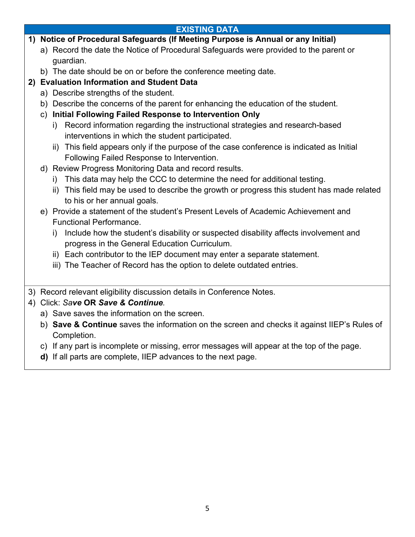## **EXISTING DATA**

#### **1) Notice of Procedural Safeguards (If Meeting Purpose is Annual or any Initial)**

- a) Record the date the Notice of Procedural Safeguards were provided to the parent or guardian.
- b) The date should be on or before the conference meeting date.

## **2) Evaluation Information and Student Data**

- a) Describe strengths of the student.
- b) Describe the concerns of the parent for enhancing the education of the student.
- c) **Initial Following Failed Response to Intervention Only**
	- i) Record information regarding the instructional strategies and research-based interventions in which the student participated.
	- ii) This field appears only if the purpose of the case conference is indicated as Initial Following Failed Response to Intervention.
- d) Review Progress Monitoring Data and record results.
	- i) This data may help the CCC to determine the need for additional testing.
	- ii) This field may be used to describe the growth or progress this student has made related to his or her annual goals.
- e) Provide a statement of the student's Present Levels of Academic Achievement and Functional Performance.
	- i) Include how the student's disability or suspected disability affects involvement and progress in the General Education Curriculum.
	- ii) Each contributor to the IEP document may enter a separate statement.
	- iii) The Teacher of Record has the option to delete outdated entries.
- 3) Record relevant eligibility discussion details in Conference Notes.

#### 4) Click: *Save* **OR** *Save & Continue.*

- a) Save saves the information on the screen.
- b) **Save & Continue** saves the information on the screen and checks it against IIEP's Rules of Completion.
- c) If any part is incomplete or missing, error messages will appear at the top of the page.
- **d)** If all parts are complete, IIEP advances to the next page.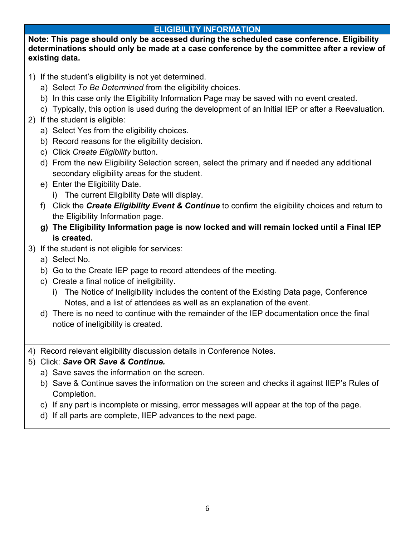#### **ELIGIBILITY INFORMATION**

**Note: This page should only be accessed during the scheduled case conference. Eligibility determinations should only be made at a case conference by the committee after a review of existing data.**

- 1) If the student's eligibility is not yet determined.
	- a) Select *To Be Determined* from the eligibility choices.
	- b) In this case only the Eligibility Information Page may be saved with no event created.
	- c) Typically, this option is used during the development of an Initial IEP or after a Reevaluation.
- 2) If the student is eligible:
	- a) Select Yes from the eligibility choices.
	- b) Record reasons for the eligibility decision.
	- c) Click *Create Eligibility* button.
	- d) From the new Eligibility Selection screen, select the primary and if needed any additional secondary eligibility areas for the student.
	- e) Enter the Eligibility Date.
		- i) The current Eligibility Date will display.
	- f) Click the *Create Eligibility Event & Continue* to confirm the eligibility choices and return to the Eligibility Information page.
	- **g) The Eligibility Information page is now locked and will remain locked until a Final IEP is created.**
- 3) If the student is not eligible for services:
	- a) Select No.
	- b) Go to the Create IEP page to record attendees of the meeting.
	- c) Create a final notice of ineligibility.
		- i) The Notice of Ineligibility includes the content of the Existing Data page, Conference Notes, and a list of attendees as well as an explanation of the event.
	- d) There is no need to continue with the remainder of the IEP documentation once the final notice of ineligibility is created.
- 4) Record relevant eligibility discussion details in Conference Notes.

#### 5) Click: *Save* **OR** *Save & Continue.*

- a) Save saves the information on the screen.
- b) Save & Continue saves the information on the screen and checks it against IIEP's Rules of Completion.
- c) If any part is incomplete or missing, error messages will appear at the top of the page.
- d) If all parts are complete, IIEP advances to the next page.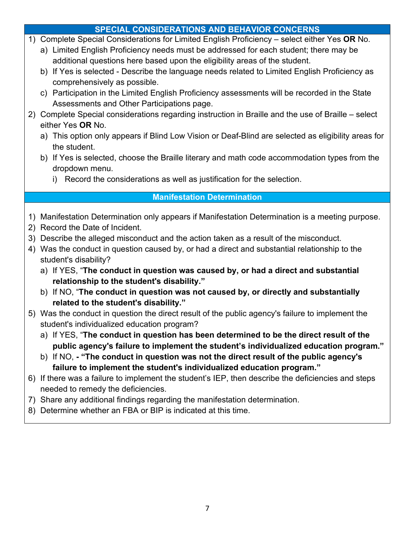## **SPECIAL CONSIDERATIONS AND BEHAVIOR CONCERNS**

- 1) Complete Special Considerations for Limited English Proficiency select either Yes **OR** No.
	- a) Limited English Proficiency needs must be addressed for each student; there may be additional questions here based upon the eligibility areas of the student.
	- b) If Yes is selected Describe the language needs related to Limited English Proficiency as comprehensively as possible.
	- c) Participation in the Limited English Proficiency assessments will be recorded in the State Assessments and Other Participations page.
- 2) Complete Special considerations regarding instruction in Braille and the use of Braille select either Yes **OR** No.
	- a) This option only appears if Blind Low Vision or Deaf-Blind are selected as eligibility areas for the student.
	- b) If Yes is selected, choose the Braille literary and math code accommodation types from the dropdown menu.
		- i) Record the considerations as well as justification for the selection.

# **Manifestation Determination**

- 1) Manifestation Determination only appears if Manifestation Determination is a meeting purpose.
- 2) Record the Date of Incident.
- 3) Describe the alleged misconduct and the action taken as a result of the misconduct.
- 4) Was the conduct in question caused by, or had a direct and substantial relationship to the student's disability?
	- a) If YES, "**The conduct in question was caused by, or had a direct and substantial relationship to the student's disability."**
	- b) If NO, "**The conduct in question was not caused by, or directly and substantially related to the student's disability."**
- 5) Was the conduct in question the direct result of the public agency's failure to implement the student's individualized education program?
	- a) If YES, "**The conduct in question has been determined to be the direct result of the public agency's failure to implement the student's individualized education program."**
	- b) If NO, **- "The conduct in question was not the direct result of the public agency's failure to implement the student's individualized education program."**
- 6) If there was a failure to implement the student's IEP, then describe the deficiencies and steps needed to remedy the deficiencies.
- 7) Share any additional findings regarding the manifestation determination.
- 8) Determine whether an FBA or BIP is indicated at this time.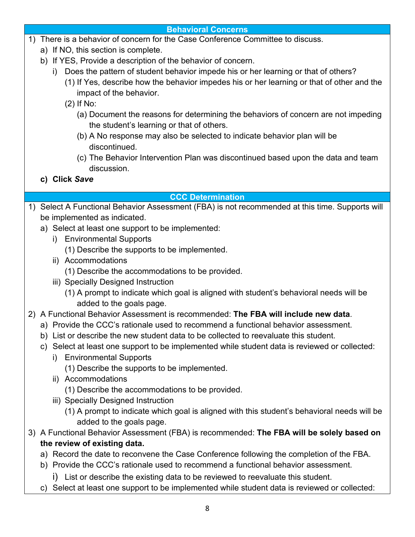#### **Behavioral Concerns**

- 1) There is a behavior of concern for the Case Conference Committee to discuss.
	- a) If NO, this section is complete.
	- b) If YES, Provide a description of the behavior of concern.
		- i) Does the pattern of student behavior impede his or her learning or that of others?
			- (1) If Yes, describe how the behavior impedes his or her learning or that of other and the impact of the behavior.
			- (2) If No:
				- (a) Document the reasons for determining the behaviors of concern are not impeding the student's learning or that of others.
				- (b) A No response may also be selected to indicate behavior plan will be discontinued.
				- (c) The Behavior Intervention Plan was discontinued based upon the data and team discussion.
	- **c) Click** *Save*

## **CCC Determination**

- 1) Select A Functional Behavior Assessment (FBA) is not recommended at this time. Supports will be implemented as indicated.
	- a) Select at least one support to be implemented:
		- i) Environmental Supports
			- (1) Describe the supports to be implemented.
		- ii) Accommodations
			- (1) Describe the accommodations to be provided.
		- iii) Specially Designed Instruction
			- (1) A prompt to indicate which goal is aligned with student's behavioral needs will be added to the goals page.
- 2) A Functional Behavior Assessment is recommended: **The FBA will include new data**.
	- a) Provide the CCC's rationale used to recommend a functional behavior assessment.
	- b) List or describe the new student data to be collected to reevaluate this student.
	- c) Select at least one support to be implemented while student data is reviewed or collected:
		- i) Environmental Supports

(1) Describe the supports to be implemented.

ii) Accommodations

(1) Describe the accommodations to be provided.

- iii) Specially Designed Instruction
	- (1) A prompt to indicate which goal is aligned with this student's behavioral needs will be added to the goals page.
- 3) A Functional Behavior Assessment (FBA) is recommended: **The FBA will be solely based on the review of existing data.**
	- a) Record the date to reconvene the Case Conference following the completion of the FBA.
	- b) Provide the CCC's rationale used to recommend a functional behavior assessment.

i) List or describe the existing data to be reviewed to reevaluate this student.

c) Select at least one support to be implemented while student data is reviewed or collected: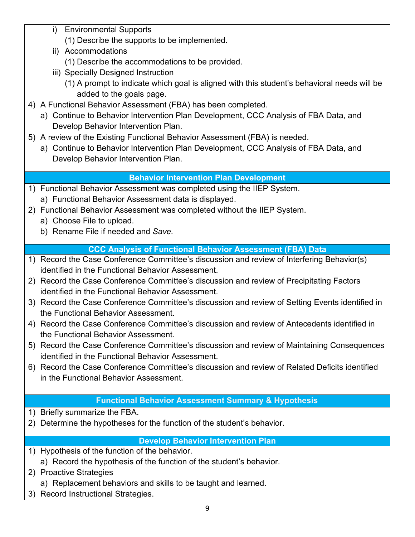- i) Environmental Supports
	- (1) Describe the supports to be implemented.
- ii) Accommodations
	- (1) Describe the accommodations to be provided.
- iii) Specially Designed Instruction
	- (1) A prompt to indicate which goal is aligned with this student's behavioral needs will be added to the goals page.
- 4) A Functional Behavior Assessment (FBA) has been completed.
	- a) Continue to Behavior Intervention Plan Development, CCC Analysis of FBA Data, and Develop Behavior Intervention Plan.
- 5) A review of the Existing Functional Behavior Assessment (FBA) is needed.
	- a) Continue to Behavior Intervention Plan Development, CCC Analysis of FBA Data, and Develop Behavior Intervention Plan.

# **Behavior Intervention Plan Development**

- 1) Functional Behavior Assessment was completed using the IIEP System. a) Functional Behavior Assessment data is displayed.
- 2) Functional Behavior Assessment was completed without the IIEP System.
	- a) Choose File to upload.
	- b) Rename File if needed and *Save.*

# **CCC Analysis of Functional Behavior Assessment (FBA) Data**

- 1) Record the Case Conference Committee's discussion and review of Interfering Behavior(s) identified in the Functional Behavior Assessment.
- 2) Record the Case Conference Committee's discussion and review of Precipitating Factors identified in the Functional Behavior Assessment.
- 3) Record the Case Conference Committee's discussion and review of Setting Events identified in the Functional Behavior Assessment.
- 4) Record the Case Conference Committee's discussion and review of Antecedents identified in the Functional Behavior Assessment.
- 5) Record the Case Conference Committee's discussion and review of Maintaining Consequences identified in the Functional Behavior Assessment.
- 6) Record the Case Conference Committee's discussion and review of Related Deficits identified in the Functional Behavior Assessment.

# **Functional Behavior Assessment Summary & Hypothesis**

- 1) Briefly summarize the FBA.
- 2) Determine the hypotheses for the function of the student's behavior.

# **Develop Behavior Intervention Plan**

- 1) Hypothesis of the function of the behavior.
	- a) Record the hypothesis of the function of the student's behavior.
- 2) Proactive Strategies
	- a) Replacement behaviors and skills to be taught and learned.
- 3) Record Instructional Strategies.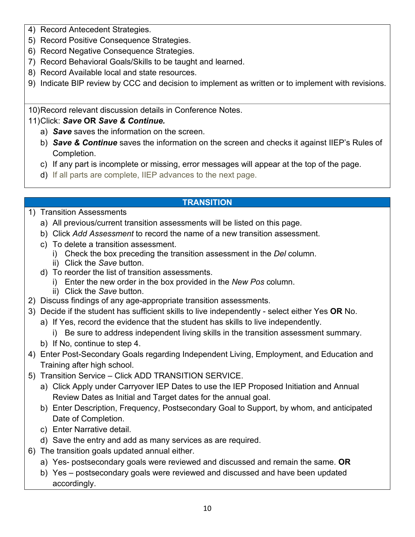- 4) Record Antecedent Strategies.
- 5) Record Positive Consequence Strategies.
- 6) Record Negative Consequence Strategies.
- 7) Record Behavioral Goals/Skills to be taught and learned.
- 8) Record Available local and state resources.
- 9) Indicate BIP review by CCC and decision to implement as written or to implement with revisions.

10)Record relevant discussion details in Conference Notes.

#### 11)Click: *Save* **OR** *Save & Continue.*

- a) *Save* saves the information on the screen.
- b) *Save & Continue* saves the information on the screen and checks it against IIEP's Rules of Completion.
- c) If any part is incomplete or missing, error messages will appear at the top of the page.

**TRANSITION**

- d) If all parts are complete, IIEP advances to the next page.
	-

#### 1) Transition Assessments

- a) All previous/current transition assessments will be listed on this page.
- b) Click *Add Assessment* to record the name of a new transition assessment.
- c) To delete a transition assessment.
	- i) Check the box preceding the transition assessment in the *Del* column.
	- ii) Click the *Save* button.
- d) To reorder the list of transition assessments.
	- i) Enter the new order in the box provided in the *New Pos* column.
	- ii) Click the *Save* button.
- 2) Discuss findings of any age-appropriate transition assessments.
- 3) Decide if the student has sufficient skills to live independently select either Yes **OR** No.
	- a) If Yes, record the evidence that the student has skills to live independently.
		- i) Be sure to address independent living skills in the transition assessment summary.
	- b) If No, continue to step 4.
- 4) Enter Post-Secondary Goals regarding Independent Living, Employment, and Education and Training after high school.
- 5) Transition Service Click ADD TRANSITION SERVICE.
	- a) Click Apply under Carryover IEP Dates to use the IEP Proposed Initiation and Annual Review Dates as Initial and Target dates for the annual goal.
	- b) Enter Description, Frequency, Postsecondary Goal to Support, by whom, and anticipated Date of Completion.
	- c) Enter Narrative detail.
	- d) Save the entry and add as many services as are required.
- 6) The transition goals updated annual either.
	- a) Yes- postsecondary goals were reviewed and discussed and remain the same. **OR**
	- b) Yes postsecondary goals were reviewed and discussed and have been updated accordingly.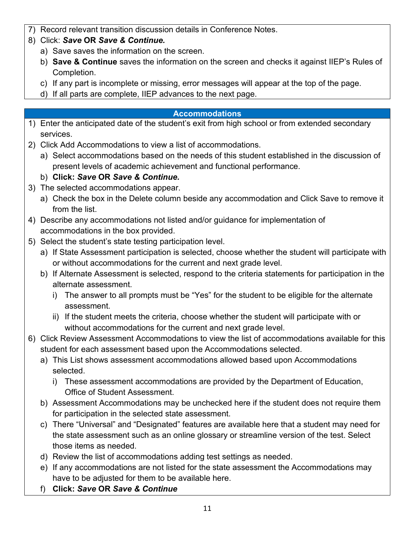- 7) Record relevant transition discussion details in Conference Notes.
- 8) Click: *Save* **OR** *Save & Continue.*
	- a) Save saves the information on the screen.
	- b) **Save & Continue** saves the information on the screen and checks it against IIEP's Rules of Completion.
	- c) If any part is incomplete or missing, error messages will appear at the top of the page.
	- d) If all parts are complete, IIEP advances to the next page.

#### **Accommodations**

- 1) Enter the anticipated date of the student's exit from high school or from extended secondary services.
- 2) Click Add Accommodations to view a list of accommodations.
	- a) Select accommodations based on the needs of this student established in the discussion of present levels of academic achievement and functional performance.

# b) **Click:** *Save* **OR** *Save & Continue.*

- 3) The selected accommodations appear.
	- a) Check the box in the Delete column beside any accommodation and Click Save to remove it from the list.
- 4) Describe any accommodations not listed and/or guidance for implementation of accommodations in the box provided.
- 5) Select the student's state testing participation level.
	- a) If State Assessment participation is selected, choose whether the student will participate with or without accommodations for the current and next grade level.
	- b) If Alternate Assessment is selected, respond to the criteria statements for participation in the alternate assessment.
		- i) The answer to all prompts must be "Yes" for the student to be eligible for the alternate assessment.
		- ii) If the student meets the criteria, choose whether the student will participate with or without accommodations for the current and next grade level.
- 6) Click Review Assessment Accommodations to view the list of accommodations available for this student for each assessment based upon the Accommodations selected.
	- a) This List shows assessment accommodations allowed based upon Accommodations selected.
		- i) These assessment accommodations are provided by the Department of Education, Office of Student Assessment.
	- b) Assessment Accommodations may be unchecked here if the student does not require them for participation in the selected state assessment.
	- c) There "Universal" and "Designated" features are available here that a student may need for the state assessment such as an online glossary or streamline version of the test. Select those items as needed.
	- d) Review the list of accommodations adding test settings as needed.
	- e) If any accommodations are not listed for the state assessment the Accommodations may have to be adjusted for them to be available here.
	- f) **Click:** *Save* **OR** *Save & Continue*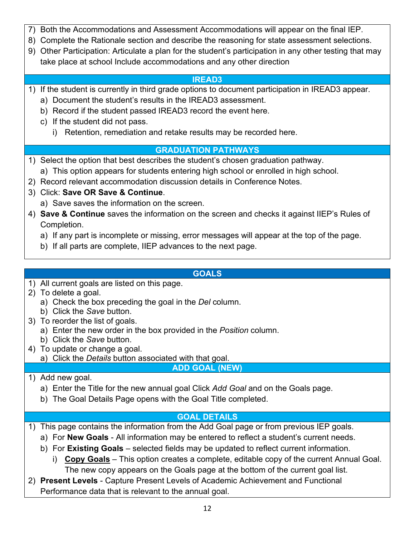- 7) Both the Accommodations and Assessment Accommodations will appear on the final IEP.
- 8) Complete the Rationale section and describe the reasoning for state assessment selections.
- 9) Other Participation: Articulate a plan for the student's participation in any other testing that may take place at school Include accommodations and any other direction

## **IREAD3**

- 1) If the student is currently in third grade options to document participation in IREAD3 appear.
	- a) Document the student's results in the IREAD3 assessment.
	- b) Record if the student passed IREAD3 record the event here.
	- c) If the student did not pass.
		- i) Retention, remediation and retake results may be recorded here.

# **GRADUATION PATHWAYS**

- 1) Select the option that best describes the student's chosen graduation pathway.
	- a) This option appears for students entering high school or enrolled in high school.
- 2) Record relevant accommodation discussion details in Conference Notes.
- 3) Click: **Save OR Save & Continue**.
	- a) Save saves the information on the screen.
- 4) **Save & Continue** saves the information on the screen and checks it against IIEP's Rules of Completion.
	- a) If any part is incomplete or missing, error messages will appear at the top of the page.
	- b) If all parts are complete, IIEP advances to the next page.

# **GOALS**

- 1) All current goals are listed on this page.
- 2) To delete a goal.
	- a) Check the box preceding the goal in the *Del* column.
	- b) Click the *Save* button.
- 3) To reorder the list of goals.
	- a) Enter the new order in the box provided in the *Position* column.
	- b) Click the *Save* button.
- 4) To update or change a goal.
	- a) Click the *Details* button associated with that goal.

**ADD GOAL (NEW)**

- 1) Add new goal.
	- a) Enter the Title for the new annual goal Click *Add Goal* and on the Goals page.
	- b) The Goal Details Page opens with the Goal Title completed.

# **GOAL DETAILS**

- 1) This page contains the information from the Add Goal page or from previous IEP goals.
	- a) For **New Goals** All information may be entered to reflect a student's current needs.
	- b) For **Existing Goals** selected fields may be updated to reflect current information.
		- i) **Copy Goals** This option creates a complete, editable copy of the current Annual Goal. The new copy appears on the Goals page at the bottom of the current goal list.
- 2) **Present Levels** Capture Present Levels of Academic Achievement and Functional Performance data that is relevant to the annual goal.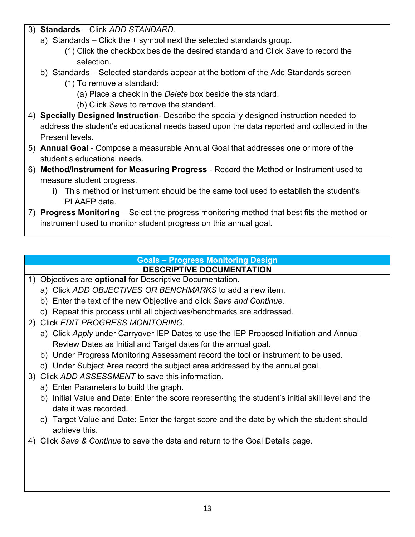- 3) **Standards**  Click *ADD STANDARD*.
	- a) Standards Click the + symbol next the selected standards group.
		- (1) Click the checkbox beside the desired standard and Click *Save* to record the selection.
	- b) Standards Selected standards appear at the bottom of the Add Standards screen
		- (1) To remove a standard:
			- (a) Place a check in the *Delete* box beside the standard.
			- (b) Click *Save* to remove the standard.
- 4) **Specially Designed Instruction** Describe the specially designed instruction needed to address the student's educational needs based upon the data reported and collected in the Present levels.
- 5) **Annual Goal** Compose a measurable Annual Goal that addresses one or more of the student's educational needs.
- 6) **Method/Instrument for Measuring Progress** Record the Method or Instrument used to measure student progress.
	- i) This method or instrument should be the same tool used to establish the student's PLAAFP data.
- 7) **Progress Monitoring** Select the progress monitoring method that best fits the method or instrument used to monitor student progress on this annual goal.

#### **Goals – Progress Monitoring Design DESCRIPTIVE DOCUMENTATION**

- 1) Objectives are **optional** for Descriptive Documentation.
	- a) Click *ADD OBJECTIVES OR BENCHMARKS* to add a new item.
	- b) Enter the text of the new Objective and click *Save and Continue.*
	- c) Repeat this process until all objectives/benchmarks are addressed.
- 2) Click *EDIT PROGRESS MONITORING.*
	- a) Click *Apply* under Carryover IEP Dates to use the IEP Proposed Initiation and Annual Review Dates as Initial and Target dates for the annual goal.
	- b) Under Progress Monitoring Assessment record the tool or instrument to be used.
	- c) Under Subject Area record the subject area addressed by the annual goal.
- 3) Click *ADD ASSESSMENT* to save this information.
	- a) Enter Parameters to build the graph.
	- b) Initial Value and Date: Enter the score representing the student's initial skill level and the date it was recorded.
	- c) Target Value and Date: Enter the target score and the date by which the student should achieve this.
- 4) Click *Save & Continue* to save the data and return to the Goal Details page.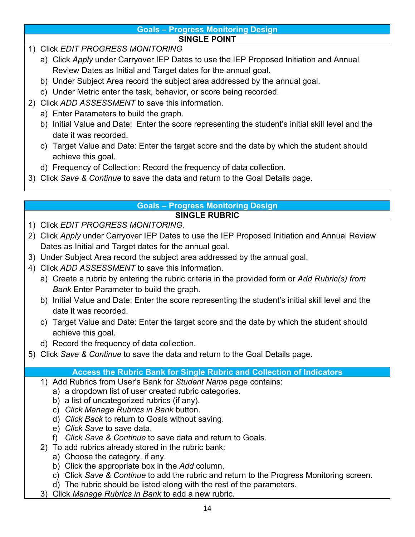#### **Goals – Progress Monitoring Design SINGLE POINT**

- 1) Click *EDIT PROGRESS MONITORING*
	- a) Click *Apply* under Carryover IEP Dates to use the IEP Proposed Initiation and Annual Review Dates as Initial and Target dates for the annual goal.
	- b) Under Subject Area record the subject area addressed by the annual goal.
	- c) Under Metric enter the task, behavior, or score being recorded.
- 2) Click *ADD ASSESSMENT* to save this information.
	- a) Enter Parameters to build the graph.
	- b) Initial Value and Date: Enter the score representing the student's initial skill level and the date it was recorded.
	- c) Target Value and Date: Enter the target score and the date by which the student should achieve this goal.
	- d) Frequency of Collection: Record the frequency of data collection.
- 3) Click *Save & Continue* to save the data and return to the Goal Details page.

#### **Goals – Progress Monitoring Design SINGLE RUBRIC**

- 1) Click *EDIT PROGRESS MONITORING.*
- 2) Click *Apply* under Carryover IEP Dates to use the IEP Proposed Initiation and Annual Review Dates as Initial and Target dates for the annual goal.
- 3) Under Subject Area record the subject area addressed by the annual goal.
- 4) Click *ADD ASSESSMENT* to save this information.
	- a) Create a rubric by entering the rubric criteria in the provided form or *Add Rubric(s) from Bank* Enter Parameter to build the graph.
	- b) Initial Value and Date: Enter the score representing the student's initial skill level and the date it was recorded.
	- c) Target Value and Date: Enter the target score and the date by which the student should achieve this goal.
	- d) Record the frequency of data collection.
- 5) Click *Save & Continue* to save the data and return to the Goal Details page.

# **Access the Rubric Bank for Single Rubric and Collection of Indicators**

- 1) Add Rubrics from User's Bank for *Student Name* page contains:
	- a) a dropdown list of user created rubric categories.
	- b) a list of uncategorized rubrics (if any).
	- c) *Click Manage Rubrics in Bank* button.
	- d) *Click Back* to return to Goals without saving.
	- e) *Click Save* to save data.
	- f) *Click Save & Continue* to save data and return to Goals.
- 2) To add rubrics already stored in the rubric bank:
	- a) Choose the category, if any.
	- b) Click the appropriate box in the *Add* column.
	- c) Click *Save & Continue* to add the rubric and return to the Progress Monitoring screen.
	- d) The rubric should be listed along with the rest of the parameters.
- 3) Click *Manage Rubrics in Bank* to add a new rubric.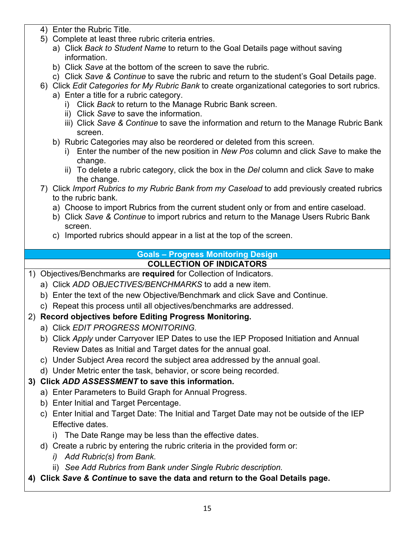- 4) Enter the Rubric Title.
- 5) Complete at least three rubric criteria entries.
	- a) Click *Back to Student Name* to return to the Goal Details page without saving information.
	- b) Click *Save* at the bottom of the screen to save the rubric.
	- c) Click *Save & Continue* to save the rubric and return to the student's Goal Details page.
- 6) Click *Edit Categories for My Rubric Bank* to create organizational categories to sort rubrics.
	- a) Enter a title for a rubric category.
		- i) Click *Back* to return to the Manage Rubric Bank screen.
		- ii) Click *Save* to save the information.
		- iii) Click *Save & Continue* to save the information and return to the Manage Rubric Bank screen.
		- b) Rubric Categories may also be reordered or deleted from this screen.
			- i) Enter the number of the new position in *New Pos* column and click *Save* to make the change.
			- ii) To delete a rubric category, click the box in the *Del* column and click *Save* to make the change.
- 7) Click *Import Rubrics to my Rubric Bank from my Caseload* to add previously created rubrics to the rubric bank.
	- a) Choose to import Rubrics from the current student only or from and entire caseload.
	- b) Click *Save & Continue* to import rubrics and return to the Manage Users Rubric Bank screen.
	- c) Imported rubrics should appear in a list at the top of the screen.

# **Goals – Progress Monitoring Design**

#### **COLLECTION OF INDICATORS**

- 1) Objectives/Benchmarks are **required** for Collection of Indicators.
	- a) Click *ADD OBJECTIVES/BENCHMARKS* to add a new item.
	- b) Enter the text of the new Objective/Benchmark and click Save and Continue.
	- c) Repeat this process until all objectives/benchmarks are addressed.

#### 2) **Record objectives before Editing Progress Monitoring.**

- a) Click *EDIT PROGRESS MONITORING.*
- b) Click *Apply* under Carryover IEP Dates to use the IEP Proposed Initiation and Annual Review Dates as Initial and Target dates for the annual goal.
- c) Under Subject Area record the subject area addressed by the annual goal.
- d) Under Metric enter the task, behavior, or score being recorded.

# **3) Click** *ADD ASSESSMENT* **to save this information.**

- a) Enter Parameters to Build Graph for Annual Progress.
- b) Enter Initial and Target Percentage.
- c) Enter Initial and Target Date: The Initial and Target Date may not be outside of the IEP Effective dates.
	- i) The Date Range may be less than the effective dates.
- d) Create a rubric by entering the rubric criteria in the provided form or:
	- *i) Add Rubric(s) from Bank.*
	- ii) *See Add Rubrics from Bank under Single Rubric description.*

#### **4) Click** *Save & Continue* **to save the data and return to the Goal Details page.**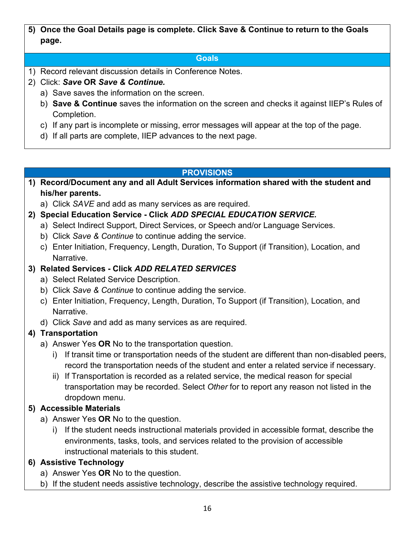**5) Once the Goal Details page is complete. Click Save & Continue to return to the Goals page.**

## **Goals**

- 1) Record relevant discussion details in Conference Notes.
- 2) Click: *Save* **OR** *Save & Continue.*
	- a) Save saves the information on the screen.
	- b) **Save & Continue** saves the information on the screen and checks it against IIEP's Rules of Completion.
	- c) If any part is incomplete or missing, error messages will appear at the top of the page.
	- d) If all parts are complete, IIEP advances to the next page.

#### **PROVISIONS**

- **1) Record/Document any and all Adult Services information shared with the student and his/her parents.**
	- a) Click *SAVE* and add as many services as are required.
- **2) Special Education Service - Click** *ADD SPECIAL EDUCATION SERVICE.*
	- a) Select Indirect Support, Direct Services, or Speech and/or Language Services.
	- b) Click *Save & Continue* to continue adding the service.
	- c) Enter Initiation, Frequency, Length, Duration, To Support (if Transition), Location, and Narrative.

# **3) Related Services - Click** *ADD RELATED SERVICES*

- a) Select Related Service Description.
- b) Click *Save & Continue* to continue adding the service.
- c) Enter Initiation, Frequency, Length, Duration, To Support (if Transition), Location, and Narrative.
- d) Click *Save* and add as many services as are required.

# **4) Transportation**

- a) Answer Yes **OR** No to the transportation question.
	- i) If transit time or transportation needs of the student are different than non-disabled peers, record the transportation needs of the student and enter a related service if necessary.
	- ii) If Transportation is recorded as a related service, the medical reason for special transportation may be recorded. Select *Other* for to report any reason not listed in the dropdown menu.

# **5) Accessible Materials**

- a) Answer Yes **OR** No to the question.
	- i) If the student needs instructional materials provided in accessible format, describe the environments, tasks, tools, and services related to the provision of accessible instructional materials to this student.

# **6) Assistive Technology**

- a) Answer Yes **OR** No to the question.
- b) If the student needs assistive technology, describe the assistive technology required.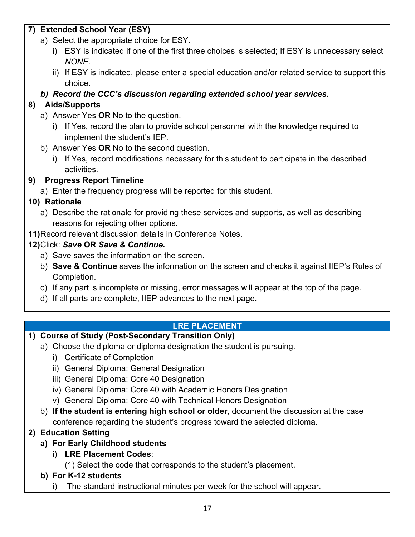## **7) Extended School Year (ESY)**

- a) Select the appropriate choice for ESY.
	- i) ESY is indicated if one of the first three choices is selected; If ESY is unnecessary select *NONE.*
	- ii) If ESY is indicated, please enter a special education and/or related service to support this choice.

*b) Record the CCC's discussion regarding extended school year services.*

# **8) Aids/Supports**

- a) Answer Yes **OR** No to the question.
	- i) If Yes, record the plan to provide school personnel with the knowledge required to implement the student's IEP.
- b) Answer Yes **OR** No to the second question.
	- i) If Yes, record modifications necessary for this student to participate in the described activities.

# **9) Progress Report Timeline**

a) Enter the frequency progress will be reported for this student.

# **10) Rationale**

- a) Describe the rationale for providing these services and supports, as well as describing reasons for rejecting other options.
- **11)**Record relevant discussion details in Conference Notes.

# **12)**Click: *Save* **OR** *Save & Continue.*

- a) Save saves the information on the screen.
- b) **Save & Continue** saves the information on the screen and checks it against IIEP's Rules of Completion.
- c) If any part is incomplete or missing, error messages will appear at the top of the page.
- d) If all parts are complete, IIEP advances to the next page.

# **LRE PLACEMENT**

# **1) Course of Study (Post-Secondary Transition Only)**

- a) Choose the diploma or diploma designation the student is pursuing.
	- i) Certificate of Completion
	- ii) General Diploma: General Designation
	- iii) General Diploma: Core 40 Designation
	- iv) General Diploma: Core 40 with Academic Honors Designation
	- v) General Diploma: Core 40 with Technical Honors Designation
	- b) **If the student is entering high school or older**, document the discussion at the case conference regarding the student's progress toward the selected diploma.
- **2) Education Setting** 
	- **a) For Early Childhood students**
		- i) **LRE Placement Codes**:
			- (1) Select the code that corresponds to the student's placement.
	- **b) For K-12 students**
		- i) The standard instructional minutes per week for the school will appear.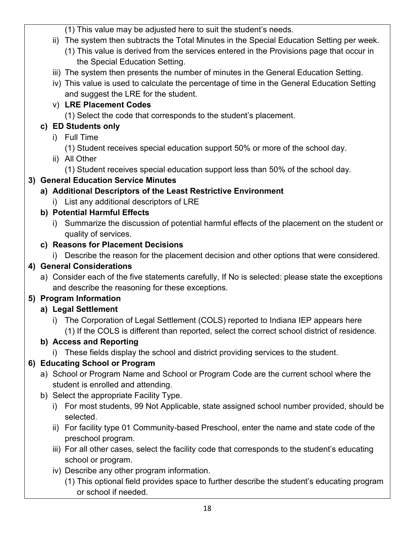(1) This value may be adjusted here to suit the student's needs.

- ii) The system then subtracts the Total Minutes in the Special Education Setting per week.
	- (1) This value is derived from the services entered in the Provisions page that occur in the Special Education Setting.
- iii) The system then presents the number of minutes in the General Education Setting.
- iv) This value is used to calculate the percentage of time in the General Education Setting and suggest the LRE for the student.
- v) **LRE Placement Codes**

(1) Select the code that corresponds to the student's placement.

# **c) ED Students only**

- i) Full Time
	- (1) Student receives special education support 50% or more of the school day.
- ii) All Other

(1) Student receives special education support less than 50% of the school day.

# **3) General Education Service Minutes**

## **a) Additional Descriptors of the Least Restrictive Environment**

i) List any additional descriptors of LRE

## **b) Potential Harmful Effects**

i) Summarize the discussion of potential harmful effects of the placement on the student or quality of services.

## **c) Reasons for Placement Decisions**

i) Describe the reason for the placement decision and other options that were considered.

# **4) General Considerations**

a) Consider each of the five statements carefully, If No is selected: please state the exceptions and describe the reasoning for these exceptions.

# **5) Program Information**

# **a) Legal Settlement**

i) The Corporation of Legal Settlement (COLS) reported to Indiana IEP appears here (1) If the COLS is different than reported, select the correct school district of residence.

# **b) Access and Reporting**

i) These fields display the school and district providing services to the student.

# **6) Educating School or Program**

- a) School or Program Name and School or Program Code are the current school where the student is enrolled and attending.
- b) Select the appropriate Facility Type.
	- i) For most students, 99 Not Applicable, state assigned school number provided, should be selected.
	- ii) For facility type 01 Community-based Preschool, enter the name and state code of the preschool program.
	- iii) For all other cases, select the facility code that corresponds to the student's educating school or program.
	- iv) Describe any other program information.
		- (1) This optional field provides space to further describe the student's educating program or school if needed.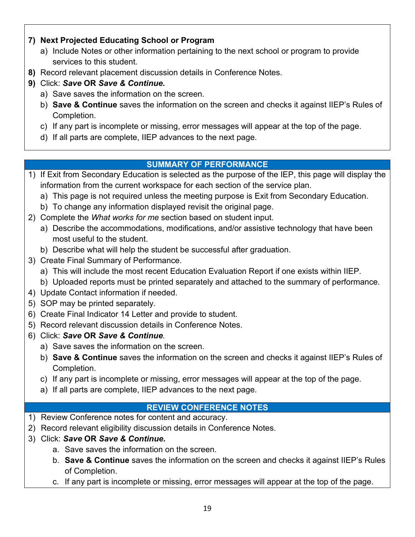## **7) Next Projected Educating School or Program**

- a) Include Notes or other information pertaining to the next school or program to provide services to this student.
- **8)** Record relevant placement discussion details in Conference Notes.
- **9)** Click: *Save* **OR** *Save & Continue.*
	- a) Save saves the information on the screen.
	- b) **Save & Continue** saves the information on the screen and checks it against IIEP's Rules of Completion.
	- c) If any part is incomplete or missing, error messages will appear at the top of the page.
	- d) If all parts are complete, IIEP advances to the next page.

#### **SUMMARY OF PERFORMANCE**

- 1) If Exit from Secondary Education is selected as the purpose of the IEP, this page will display the information from the current workspace for each section of the service plan.
	- a) This page is not required unless the meeting purpose is Exit from Secondary Education.
	- b) To change any information displayed revisit the original page.
- 2) Complete the *What works for me* section based on student input.
	- a) Describe the accommodations, modifications, and/or assistive technology that have been most useful to the student.
	- b) Describe what will help the student be successful after graduation.
- 3) Create Final Summary of Performance.
	- a) This will include the most recent Education Evaluation Report if one exists within IIEP.
	- b) Uploaded reports must be printed separately and attached to the summary of performance.
- 4) Update Contact information if needed.
- 5) SOP may be printed separately.
- 6) Create Final Indicator 14 Letter and provide to student.
- 5) Record relevant discussion details in Conference Notes.
- 6) Click: *Save* **OR** *Save & Continue.*
	- a) Save saves the information on the screen.
	- b) **Save & Continue** saves the information on the screen and checks it against IIEP's Rules of Completion.
	- c) If any part is incomplete or missing, error messages will appear at the top of the page.
	- a) If all parts are complete, IIEP advances to the next page.

#### **REVIEW CONFERENCE NOTES**

- 1) Review Conference notes for content and accuracy.
- 2) Record relevant eligibility discussion details in Conference Notes.
- 3) Click: *Save* **OR** *Save & Continue.*
	- a. Save saves the information on the screen.
	- b. **Save & Continue** saves the information on the screen and checks it against IIEP's Rules of Completion.
	- c. If any part is incomplete or missing, error messages will appear at the top of the page.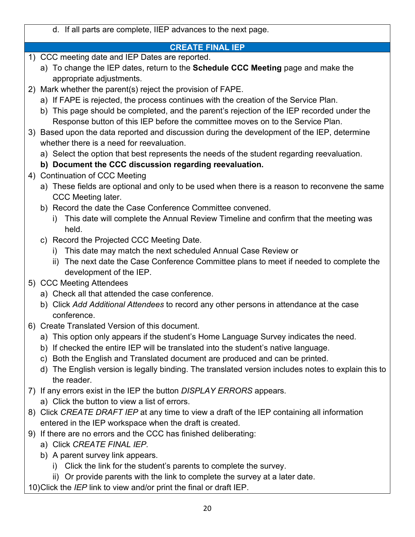d. If all parts are complete, IIEP advances to the next page. **CREATE FINAL IEP** 1) CCC meeting date and IEP Dates are reported. a) To change the IEP dates, return to the **Schedule CCC Meeting** page and make the appropriate adjustments. 2) Mark whether the parent(s) reject the provision of FAPE. a) If FAPE is rejected, the process continues with the creation of the Service Plan. b) This page should be completed, and the parent's rejection of the IEP recorded under the Response button of this IEP before the committee moves on to the Service Plan. 3) Based upon the data reported and discussion during the development of the IEP, determine whether there is a need for reevaluation. a) Select the option that best represents the needs of the student regarding reevaluation. **b) Document the CCC discussion regarding reevaluation.** 4) Continuation of CCC Meeting a) These fields are optional and only to be used when there is a reason to reconvene the same CCC Meeting later. b) Record the date the Case Conference Committee convened. i) This date will complete the Annual Review Timeline and confirm that the meeting was held. c) Record the Projected CCC Meeting Date. i) This date may match the next scheduled Annual Case Review or ii) The next date the Case Conference Committee plans to meet if needed to complete the development of the IEP. 5) CCC Meeting Attendees a) Check all that attended the case conference. b) Click *Add Additional Attendees* to record any other persons in attendance at the case conference. 6) Create Translated Version of this document. a) This option only appears if the student's Home Language Survey indicates the need. b) If checked the entire IEP will be translated into the student's native language. c) Both the English and Translated document are produced and can be printed. d) The English version is legally binding. The translated version includes notes to explain this to the reader. 7) If any errors exist in the IEP the button *DISPLAY ERRORS* appears. a) Click the button to view a list of errors. 8) Click *CREATE DRAFT IEP* at any time to view a draft of the IEP containing all information entered in the IEP workspace when the draft is created. 9) If there are no errors and the CCC has finished deliberating: a) Click *CREATE FINAL IEP.* b) A parent survey link appears. i) Click the link for the student's parents to complete the survey. ii) Or provide parents with the link to complete the survey at a later date. 10)Click the *IEP* link to view and/or print the final or draft IEP.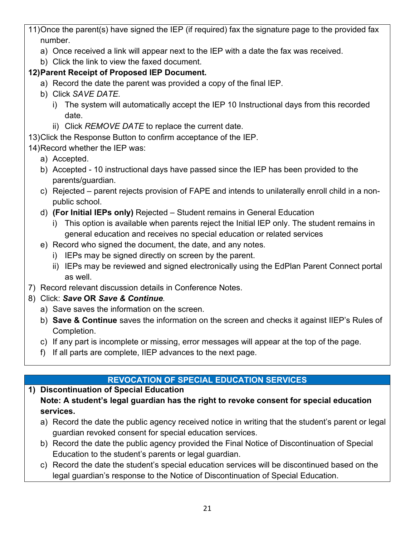11)Once the parent(s) have signed the IEP (if required) fax the signature page to the provided fax number.

- a) Once received a link will appear next to the IEP with a date the fax was received.
- b) Click the link to view the faxed document.

# **12)Parent Receipt of Proposed IEP Document.**

- a) Record the date the parent was provided a copy of the final IEP.
- b) Click *SAVE DATE.*
	- i) The system will automatically accept the IEP 10 Instructional days from this recorded date.
	- ii) Click *REMOVE DATE* to replace the current date.
- 13)Click the Response Button to confirm acceptance of the IEP.
- 14)Record whether the IEP was:
	- a) Accepted.
	- b) Accepted 10 instructional days have passed since the IEP has been provided to the parents/guardian.
	- c) Rejected parent rejects provision of FAPE and intends to unilaterally enroll child in a nonpublic school.
	- d) **(For Initial IEPs only)** Rejected Student remains in General Education
		- i) This option is available when parents reject the Initial IEP only. The student remains in general education and receives no special education or related services
	- e) Record who signed the document, the date, and any notes.
		- i) IEPs may be signed directly on screen by the parent.
		- ii) IEPs may be reviewed and signed electronically using the EdPlan Parent Connect portal as well.
- 7) Record relevant discussion details in Conference Notes.
- 8) Click: *Save* **OR** *Save & Continue.*
	- a) Save saves the information on the screen.
	- b) **Save & Continue** saves the information on the screen and checks it against IIEP's Rules of Completion.
	- c) If any part is incomplete or missing, error messages will appear at the top of the page.
	- f) If all parts are complete, IIEP advances to the next page.

# **REVOCATION OF SPECIAL EDUCATION SERVICES**

**1) Discontinuation of Special Education Note: A student's legal guardian has the right to revoke consent for special education services.**

- a) Record the date the public agency received notice in writing that the student's parent or legal guardian revoked consent for special education services.
- b) Record the date the public agency provided the Final Notice of Discontinuation of Special Education to the student's parents or legal guardian.
- c) Record the date the student's special education services will be discontinued based on the legal guardian's response to the Notice of Discontinuation of Special Education.